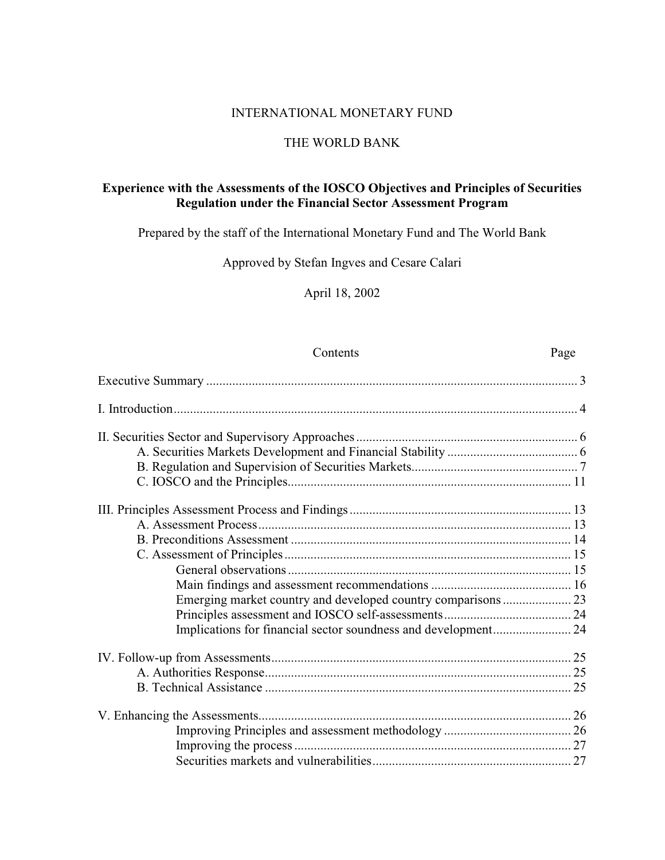## INTERNATIONAL MONETARY FUND

### THE WORLD BANK

## Experience with the Assessments of the IOSCO Objectives and Principles of Securities Regulation under the Financial Sector Assessment Program

Prepared by the staff of the International Monetary Fund and The World Bank

Approved by Stefan Ingves and Cesare Calari

April 18, 2002

| Contents | Page |
|----------|------|
|          |      |
|          |      |
|          |      |
|          |      |
|          |      |
|          |      |
|          |      |
|          |      |
|          |      |
|          |      |
|          |      |
|          |      |
|          |      |
|          |      |
|          |      |
|          |      |
|          |      |
|          |      |
|          |      |
|          |      |
|          |      |
|          |      |
|          |      |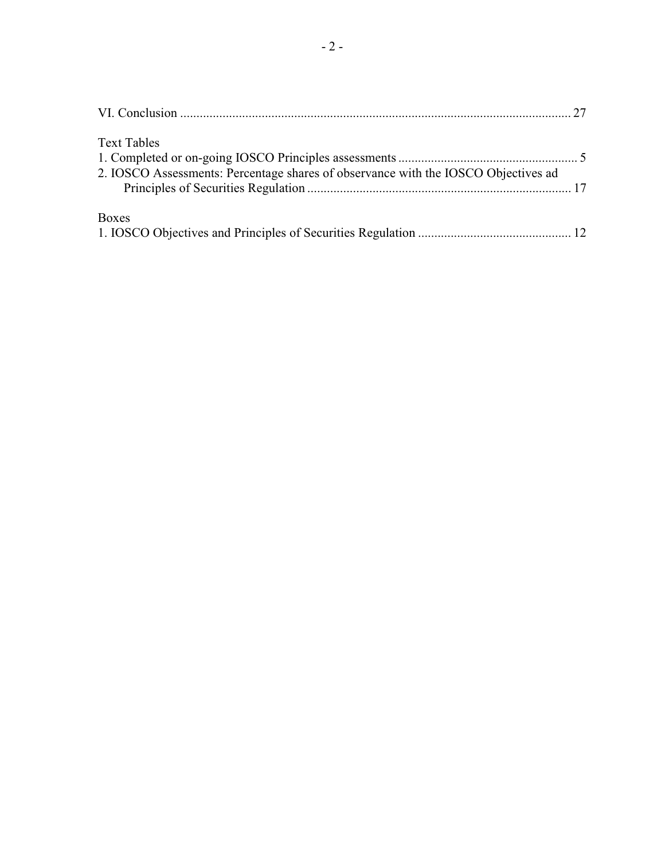| <b>Text Tables</b>                                                                 |  |
|------------------------------------------------------------------------------------|--|
| 2. IOSCO Assessments: Percentage shares of observance with the IOSCO Objectives ad |  |
| Boxes                                                                              |  |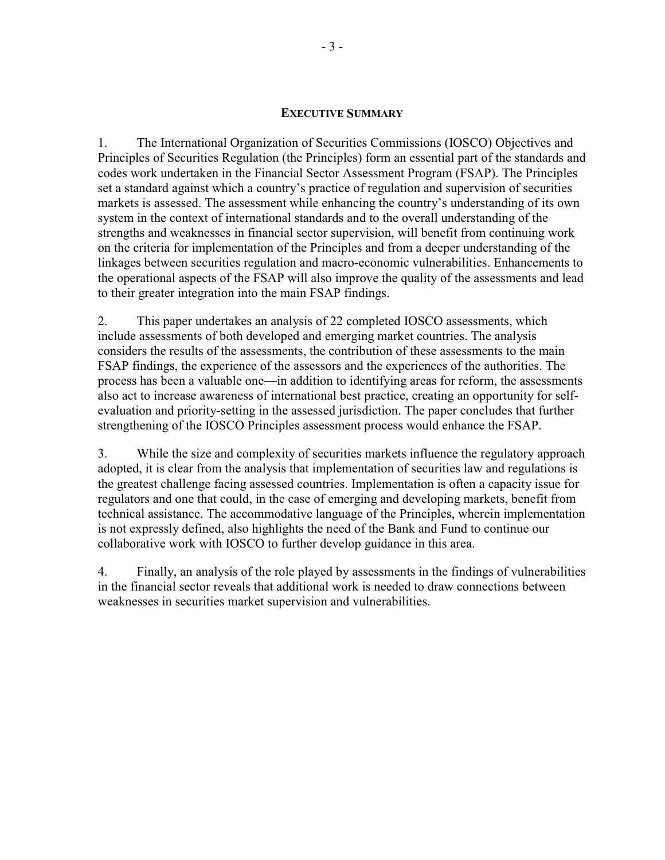### **EXECUTIVE SUMMARY**

1. The International Organization of Securities Commissions (IOSCO) Objectives and Principles of Securities Regulation (the Principles) form an essential part of the standards and codes work undertaken in the Financial Sector Assessment Program (FSAP). The Principles set a standard against which a country's practice of regulation and supervision of securities markets is assessed. The assessment while enhancing the country's understanding of its own system in the context of international standards and to the overall understanding of the strengths and weaknesses in financial sector supervision, will benefit from continuing work on the criteria for implementation of the Principles and from a deeper understanding of the linkages between securities regulation and macro-economic vulnerabilities. Enhancements to the operational aspects of the FSAP will also improve the quality of the assessments and lead to their greater integration into the main FSAP findings.

2. This paper undertakes an analysis of 22 completed IOSCO assessments, which include assessments of both developed and emerging market countries. The analysis considers the results of the assessments, the contribution of these assessments to the main FSAP findings, the experience of the assessors and the experiences of the authorities. The process has been a valuable one—in addition to identifying areas for reform, the assessments also act to increase awareness of international best practice, creating an opportunity for selfevaluation and priority-setting in the assessed jurisdiction. The paper concludes that further strengthening of the IOSCO Principles assessment process would enhance the FSAP.

 $\overline{3}$ . While the size and complexity of securities markets influence the regulatory approach adopted, it is clear from the analysis that implementation of securities law and regulations is the greatest challenge facing assessed countries. Implementation is often a capacity issue for regulators and one that could, in the case of emerging and developing markets, benefit from technical assistance. The accommodative language of the Principles, wherein implementation is not expressly defined, also highlights the need of the Bank and Fund to continue our collaborative work with IOSCO to further develop guidance in this area.

Finally, an analysis of the role played by assessments in the findings of vulnerabilities 4. in the financial sector reveals that additional work is needed to draw connections between weaknesses in securities market supervision and vulnerabilities.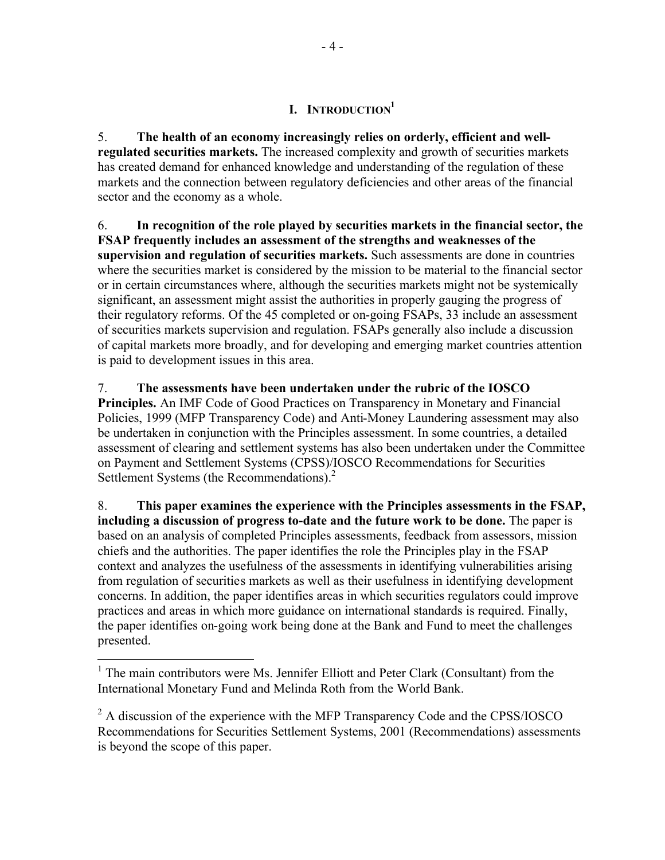# **I. INTRODUCTION**<sup>1</sup>

5. **The health of an economy increasingly relies on orderly, efficient and wellregulated securities markets.** The increased complexity and growth of securities markets has created demand for enhanced knowledge and understanding of the regulation of these markets and the connection between regulatory deficiencies and other areas of the financial sector and the economy as a whole.

6. **In recognition of the role played by securities markets in the financial sector, the FSAP frequently includes an assessment of the strengths and weaknesses of the supervision and regulation of securities markets.** Such assessments are done in countries where the securities market is considered by the mission to be material to the financial sector or in certain circumstances where, although the securities markets might not be systemically significant, an assessment might assist the authorities in properly gauging the progress of their regulatory reforms. Of the 45 completed or on-going FSAPs, 33 include an assessment of securities markets supervision and regulation. FSAPs generally also include a discussion of capital markets more broadly, and for developing and emerging market countries attention is paid to development issues in this area.

7. **The assessments have been undertaken under the rubric of the IOSCO Principles.** An IMF Code of Good Practices on Transparency in Monetary and Financial Policies, 1999 (MFP Transparency Code) and Anti-Money Laundering assessment may also be undertaken in conjunction with the Principles assessment. In some countries, a detailed assessment of clearing and settlement systems has also been undertaken under the Committee on Payment and Settlement Systems (CPSS)/IOSCO Recommendations for Securities Settlement Systems (the Recommendations).<sup>2</sup>

8. **This paper examines the experience with the Principles assessments in the FSAP, including a discussion of progress to-date and the future work to be done.** The paper is based on an analysis of completed Principles assessments, feedback from assessors, mission chiefs and the authorities. The paper identifies the role the Principles play in the FSAP context and analyzes the usefulness of the assessments in identifying vulnerabilities arising from regulation of securities markets as well as their usefulness in identifying development concerns. In addition, the paper identifies areas in which securities regulators could improve practices and areas in which more guidance on international standards is required. Finally, the paper identifies on-going work being done at the Bank and Fund to meet the challenges presented.

<sup>&</sup>lt;sup>1</sup> The main contributors were Ms. Jennifer Elliott and Peter Clark (Consultant) from the International Monetary Fund and Melinda Roth from the World Bank.

 $2^2$  A discussion of the experience with the MFP Transparency Code and the CPSS/IOSCO Recommendations for Securities Settlement Systems, 2001 (Recommendations) assessments is beyond the scope of this paper.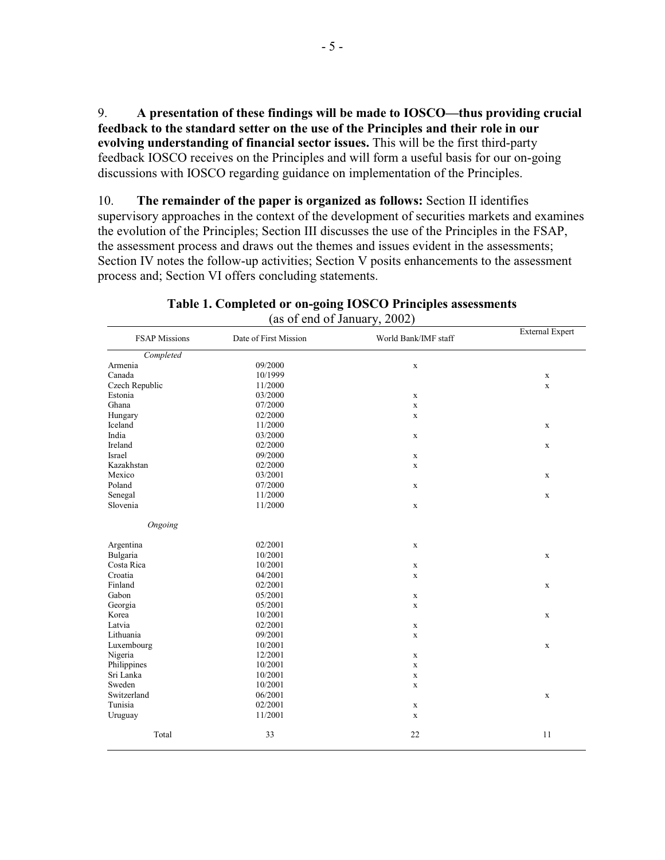A presentation of these findings will be made to IOSCO—thus providing crucial 9. feedback to the standard setter on the use of the Principles and their role in our evolving understanding of financial sector issues. This will be the first third-party feedback IOSCO receives on the Principles and will form a useful basis for our on-going discussions with IOSCO regarding guidance on implementation of the Principles.

The remainder of the paper is organized as follows: Section II identifies 10. supervisory approaches in the context of the development of securities markets and examines the evolution of the Principles; Section III discusses the use of the Principles in the FSAP, the assessment process and draws out the themes and issues evident in the assessments; Section IV notes the follow-up activities; Section V posits enhancements to the assessment process and; Section VI offers concluding statements.

| <b>FSAP Missions</b> | Date of First Mission | World Bank/IMF staff | <b>External Expert</b> |  |
|----------------------|-----------------------|----------------------|------------------------|--|
| Completed            |                       |                      |                        |  |
| Armenia              | 09/2000               | $\mathbf X$          |                        |  |
| Canada               | 10/1999               |                      | X                      |  |
| Czech Republic       | 11/2000               |                      | $\mathbf X$            |  |
| Estonia              | 03/2000               | $\mathbf X$          |                        |  |
| Ghana                | 07/2000               | $\mathbf X$          |                        |  |
| Hungary              | 02/2000               | $\mathbf X$          |                        |  |
| Iceland              | 11/2000               |                      | $\mathbf X$            |  |
| India                | 03/2000               | $\mathbf X$          |                        |  |
| Ireland              | 02/2000               |                      | $\mathbf x$            |  |
| Israel               | 09/2000               | $\mathbf X$          |                        |  |
| Kazakhstan           | 02/2000               | $\mathbf X$          |                        |  |
| Mexico               | 03/2001               |                      | $\mathbf{x}$           |  |
| Poland               | 07/2000               | $\mathbf X$          |                        |  |
| Senegal              | 11/2000               |                      | $\mathbf X$            |  |
| Slovenia             | 11/2000               | $\mathbf X$          |                        |  |
| Ongoing              |                       |                      |                        |  |
| Argentina            | 02/2001               | $\mathbf X$          |                        |  |
| Bulgaria             | 10/2001               |                      | $\mathbf X$            |  |
| Costa Rica           | 10/2001               | $\mathbf X$          |                        |  |
| Croatia              | 04/2001               | $\mathbf X$          |                        |  |
| Finland              | 02/2001               |                      | $\mathbf x$            |  |
| Gabon                | 05/2001               | $\mathbf X$          |                        |  |
| Georgia              | 05/2001               | $\mathbf X$          |                        |  |
| Korea                | 10/2001               |                      | X                      |  |
| Latvia               | 02/2001               | $\mathbf X$          |                        |  |
| Lithuania            | 09/2001               | $\mathbf X$          |                        |  |
| Luxembourg           | 10/2001               |                      | $\mathbf x$            |  |
| Nigeria              | 12/2001               | $\mathbf X$          |                        |  |
| Philippines          | 10/2001               | $\mathbf X$          |                        |  |
| Sri Lanka            | 10/2001               | $\mathbf X$          |                        |  |
| Sweden               | 10/2001               | $\mathbf X$          |                        |  |
| Switzerland          | 06/2001               |                      | $\mathbf X$            |  |
| Tunisia              | 02/2001               | $\mathbf X$          |                        |  |
| Uruguay              | 11/2001               | $\mathbf X$          |                        |  |
| Total                | 33                    | 22                   | 11                     |  |

### Table 1. Completed or on-going IOSCO Principles assessments (as of end of January, 2002)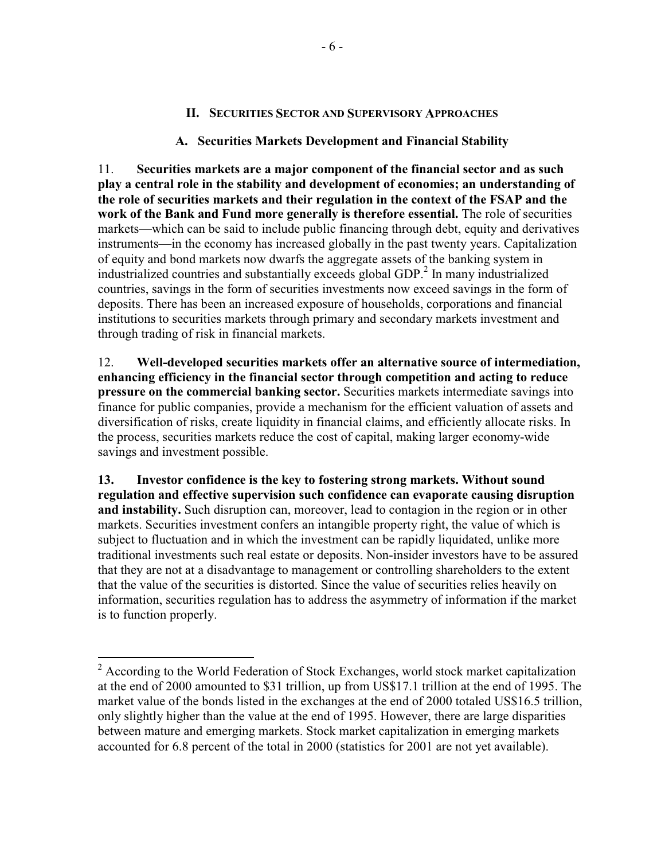### **II. SECURITIES SECTOR AND SUPERVISORY APPROACHES**

### A. Securities Markets Development and Financial Stability

 $11.$ Securities markets are a major component of the financial sector and as such play a central role in the stability and development of economies; an understanding of the role of securities markets and their regulation in the context of the FSAP and the work of the Bank and Fund more generally is therefore essential. The role of securities markets—which can be said to include public financing through debt, equity and derivatives instruments—in the economy has increased globally in the past twenty years. Capitalization of equity and bond markets now dwarfs the aggregate assets of the banking system in industrialized countries and substantially exceeds global GDP.<sup>2</sup> In many industrialized countries, savings in the form of securities investments now exceed savings in the form of deposits. There has been an increased exposure of households, corporations and financial institutions to securities markets through primary and secondary markets investment and through trading of risk in financial markets.

12. Well-developed securities markets offer an alternative source of intermediation, enhancing efficiency in the financial sector through competition and acting to reduce pressure on the commercial banking sector. Securities markets intermediate savings into finance for public companies, provide a mechanism for the efficient valuation of assets and diversification of risks, create liquidity in financial claims, and efficiently allocate risks. In the process, securities markets reduce the cost of capital, making larger economy-wide savings and investment possible.

13. Investor confidence is the key to fostering strong markets. Without sound regulation and effective supervision such confidence can evaporate causing disruption and instability. Such disruption can, moreover, lead to contagion in the region or in other markets. Securities investment confers an intangible property right, the value of which is subject to fluctuation and in which the investment can be rapidly liquidated, unlike more traditional investments such real estate or deposits. Non-insider investors have to be assured that they are not at a disadvantage to management or controlling shareholders to the extent that the value of the securities is distorted. Since the value of securities relies heavily on information, securities regulation has to address the asymmetry of information if the market is to function properly.

 $2$  According to the World Federation of Stock Exchanges, world stock market capitalization at the end of 2000 amounted to \$31 trillion, up from US\$17.1 trillion at the end of 1995. The market value of the bonds listed in the exchanges at the end of 2000 totaled US\$16.5 trillion, only slightly higher than the value at the end of 1995. However, there are large disparities between mature and emerging markets. Stock market capitalization in emerging markets accounted for 6.8 percent of the total in 2000 (statistics for 2001 are not yet available).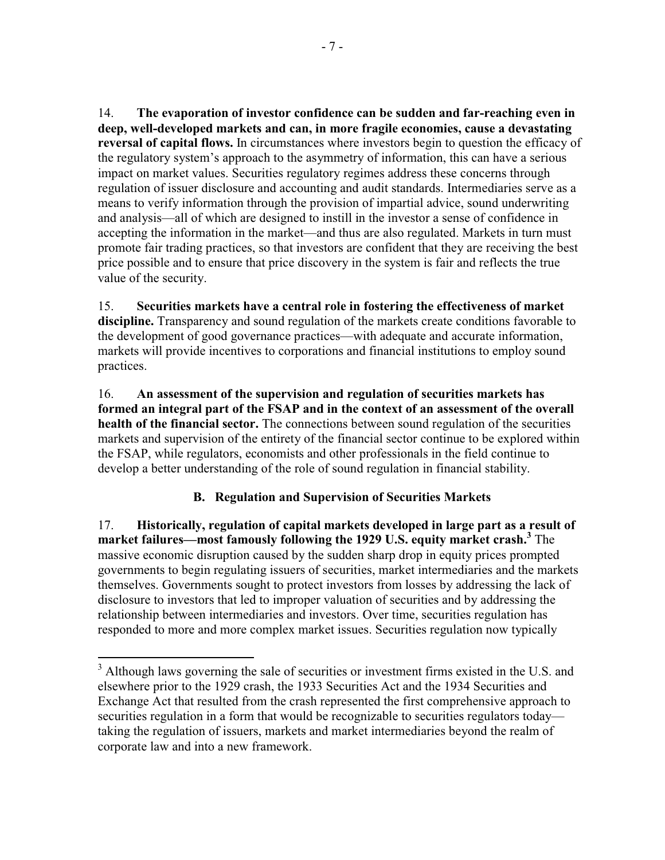$14$ The evaporation of investor confidence can be sudden and far-reaching even in deep, well-developed markets and can, in more fragile economies, cause a devastating reversal of capital flows. In circumstances where investors begin to question the efficacy of the regulatory system's approach to the asymmetry of information, this can have a serious impact on market values. Securities regulatory regimes address these concerns through regulation of issuer disclosure and accounting and audit standards. Intermediaries serve as a means to verify information through the provision of impartial advice, sound underwriting and analysis—all of which are designed to instill in the investor a sense of confidence in accepting the information in the market—and thus are also regulated. Markets in turn must promote fair trading practices, so that investors are confident that they are receiving the best price possible and to ensure that price discovery in the system is fair and reflects the true value of the security.

15. Securities markets have a central role in fostering the effectiveness of market discipline. Transparency and sound regulation of the markets create conditions favorable to the development of good governance practices—with adequate and accurate information, markets will provide incentives to corporations and financial institutions to employ sound practices.

16. An assessment of the supervision and regulation of securities markets has formed an integral part of the FSAP and in the context of an assessment of the overall health of the financial sector. The connections between sound regulation of the securities markets and supervision of the entirety of the financial sector continue to be explored within the FSAP, while regulators, economists and other professionals in the field continue to develop a better understanding of the role of sound regulation in financial stability.

# **B.** Regulation and Supervision of Securities Markets

Historically, regulation of capital markets developed in large part as a result of  $17<sub>1</sub>$ market failures—most famously following the 1929 U.S. equity market crash.<sup>3</sup> The massive economic disruption caused by the sudden sharp drop in equity prices prompted governments to begin regulating issuers of securities, market intermediaries and the markets themselves. Governments sought to protect investors from losses by addressing the lack of disclosure to investors that led to improper valuation of securities and by addressing the relationship between intermediaries and investors. Over time, securities regulation has responded to more and more complex market issues. Securities regulation now typically

<sup>&</sup>lt;sup>3</sup> Although laws governing the sale of securities or investment firms existed in the U.S. and elsewhere prior to the 1929 crash, the 1933 Securities Act and the 1934 Securities and Exchange Act that resulted from the crash represented the first comprehensive approach to securities regulation in a form that would be recognizable to securities regulators today taking the regulation of issuers, markets and market intermediaries beyond the realm of corporate law and into a new framework.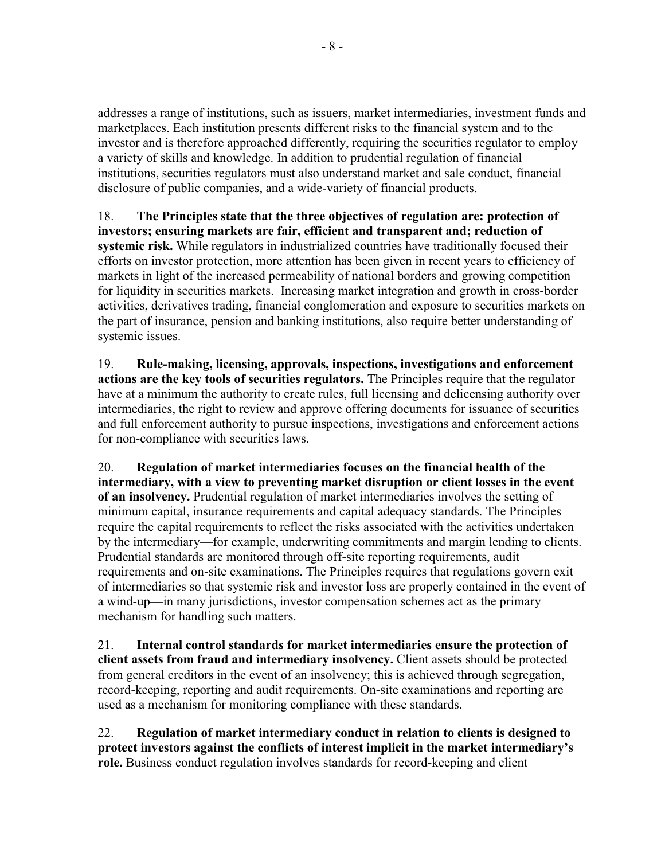addresses a range of institutions, such as issuers, market intermediaries, investment funds and marketplaces. Each institution presents different risks to the financial system and to the investor and is therefore approached differently, requiring the securities regulator to employ a variety of skills and knowledge. In addition to prudential regulation of financial institutions, securities regulators must also understand market and sale conduct, financial disclosure of public companies, and a wide-variety of financial products.

18. The Principles state that the three objectives of regulation are: protection of investors; ensuring markets are fair, efficient and transparent and; reduction of systemic risk. While regulators in industrialized countries have traditionally focused their efforts on investor protection, more attention has been given in recent years to efficiency of markets in light of the increased permeability of national borders and growing competition for liquidity in securities markets. Increasing market integration and growth in cross-border activities, derivatives trading, financial conglomeration and exposure to securities markets on the part of insurance, pension and banking institutions, also require better understanding of systemic issues.

19. Rule-making, licensing, approvals, inspections, investigations and enforcement actions are the key tools of securities regulators. The Principles require that the regulator have at a minimum the authority to create rules, full licensing and delicensing authority over intermediaries, the right to review and approve offering documents for issuance of securities and full enforcement authority to pursue inspections, investigations and enforcement actions for non-compliance with securities laws.

20. Regulation of market intermediaries focuses on the financial health of the intermediary, with a view to preventing market disruption or client losses in the event of an insolvency. Prudential regulation of market intermediaries involves the setting of minimum capital, insurance requirements and capital adequacy standards. The Principles require the capital requirements to reflect the risks associated with the activities undertaken by the intermediary—for example, underwriting commitments and margin lending to clients. Prudential standards are monitored through off-site reporting requirements, audit requirements and on-site examinations. The Principles requires that regulations govern exit of intermediaries so that systemic risk and investor loss are properly contained in the event of a wind-up—in many jurisdictions, investor compensation schemes act as the primary mechanism for handling such matters.

21. Internal control standards for market intermediaries ensure the protection of client assets from fraud and intermediary insolvency. Client assets should be protected from general creditors in the event of an insolvency; this is achieved through segregation, record-keeping, reporting and audit requirements. On-site examinations and reporting are used as a mechanism for monitoring compliance with these standards.

22. Regulation of market intermediary conduct in relation to clients is designed to protect investors against the conflicts of interest implicit in the market intermediary's role. Business conduct regulation involves standards for record-keeping and client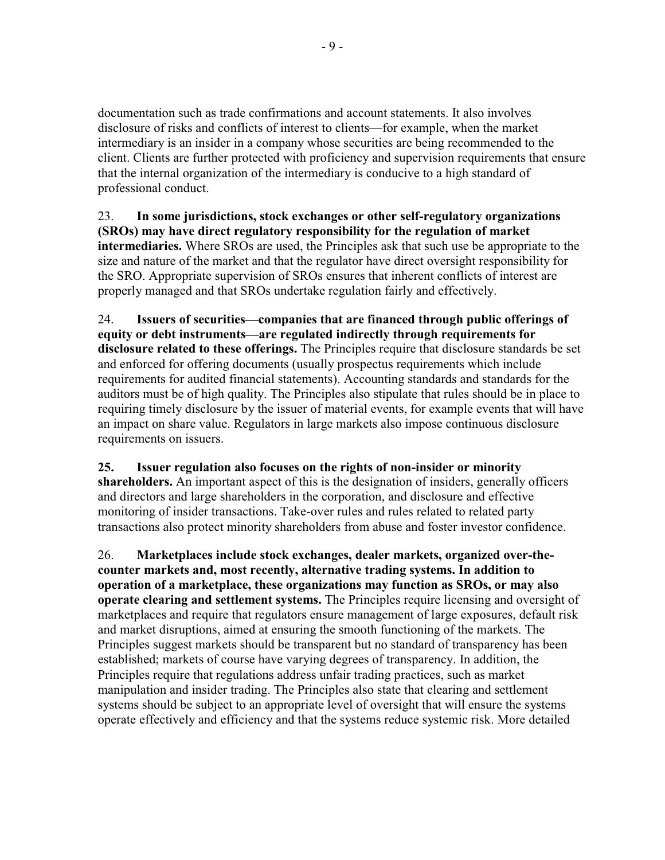documentation such as trade confirmations and account statements. It also involves disclosure of risks and conflicts of interest to clients—for example, when the market intermediary is an insider in a company whose securities are being recommended to the client. Clients are further protected with proficiency and supervision requirements that ensure that the internal organization of the intermediary is conducive to a high standard of professional conduct.

23. In some jurisdictions, stock exchanges or other self-regulatory organizations (SROs) may have direct regulatory responsibility for the regulation of market **intermediaries.** Where SROs are used, the Principles ask that such use be appropriate to the size and nature of the market and that the regulator have direct oversight responsibility for the SRO. Appropriate supervision of SROs ensures that inherent conflicts of interest are properly managed and that SROs undertake regulation fairly and effectively.

24. Issuers of securities—companies that are financed through public offerings of equity or debt instruments—are regulated indirectly through requirements for disclosure related to these offerings. The Principles require that disclosure standards be set and enforced for offering documents (usually prospectus requirements which include requirements for audited financial statements). Accounting standards and standards for the auditors must be of high quality. The Principles also stipulate that rules should be in place to requiring timely disclosure by the issuer of material events, for example events that will have an impact on share value. Regulators in large markets also impose continuous disclosure requirements on issuers.

25. Issuer regulation also focuses on the rights of non-insider or minority shareholders. An important aspect of this is the designation of insiders, generally officers and directors and large shareholders in the corporation, and disclosure and effective monitoring of insider transactions. Take-over rules and rules related to related party transactions also protect minority shareholders from abuse and foster investor confidence.

26. Marketplaces include stock exchanges, dealer markets, organized over-thecounter markets and, most recently, alternative trading systems. In addition to operation of a marketplace, these organizations may function as SROs, or may also **operate clearing and settlement systems.** The Principles require licensing and oversight of marketplaces and require that regulators ensure management of large exposures, default risk and market disruptions, aimed at ensuring the smooth functioning of the markets. The Principles suggest markets should be transparent but no standard of transparency has been established; markets of course have varying degrees of transparency. In addition, the Principles require that regulations address unfair trading practices, such as market manipulation and insider trading. The Principles also state that clearing and settlement systems should be subject to an appropriate level of oversight that will ensure the systems operate effectively and efficiency and that the systems reduce systemic risk. More detailed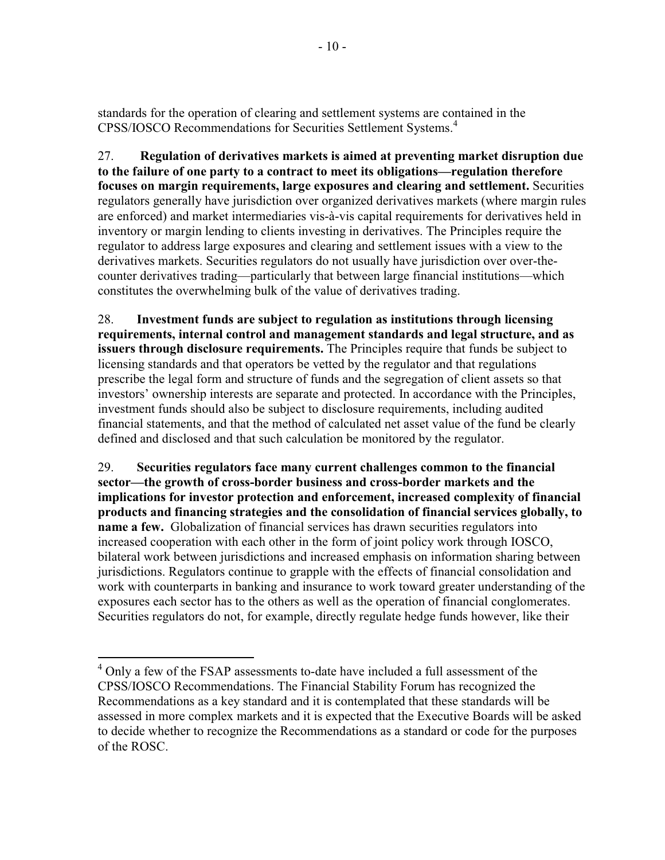standards for the operation of clearing and settlement systems are contained in the CPSS/IOSCO Recommendations for Securities Settlement Systems.<sup>4</sup>

27. Regulation of derivatives markets is aimed at preventing market disruption due to the failure of one party to a contract to meet its obligations—regulation therefore focuses on margin requirements, large exposures and clearing and settlement. Securities regulators generally have jurisdiction over organized derivatives markets (where margin rules are enforced) and market intermediaries vis-à-vis capital requirements for derivatives held in inventory or margin lending to clients investing in derivatives. The Principles require the regulator to address large exposures and clearing and settlement issues with a view to the derivatives markets. Securities regulators do not usually have jurisdiction over over-thecounter derivatives trading—particularly that between large financial institutions—which constitutes the overwhelming bulk of the value of derivatives trading.

28. Investment funds are subject to regulation as institutions through licensing requirements, internal control and management standards and legal structure, and as issuers through disclosure requirements. The Principles require that funds be subject to licensing standards and that operators be vetted by the regulator and that regulations prescribe the legal form and structure of funds and the segregation of client assets so that investors' ownership interests are separate and protected. In accordance with the Principles, investment funds should also be subject to disclosure requirements, including audited financial statements, and that the method of calculated net asset value of the fund be clearly defined and disclosed and that such calculation be monitored by the regulator.

29. Securities regulators face many current challenges common to the financial sector—the growth of cross-border business and cross-border markets and the implications for investor protection and enforcement, increased complexity of financial products and financing strategies and the consolidation of financial services globally, to name a few. Globalization of financial services has drawn securities regulators into increased cooperation with each other in the form of joint policy work through IOSCO, bilateral work between jurisdictions and increased emphasis on information sharing between jurisdictions. Regulators continue to grapple with the effects of financial consolidation and work with counterparts in banking and insurance to work toward greater understanding of the exposures each sector has to the others as well as the operation of financial conglomerates. Securities regulators do not, for example, directly regulate hedge funds however, like their

 $4$  Only a few of the FSAP assessments to-date have included a full assessment of the CPSS/IOSCO Recommendations. The Financial Stability Forum has recognized the Recommendations as a key standard and it is contemplated that these standards will be assessed in more complex markets and it is expected that the Executive Boards will be asked to decide whether to recognize the Recommendations as a standard or code for the purposes of the ROSC.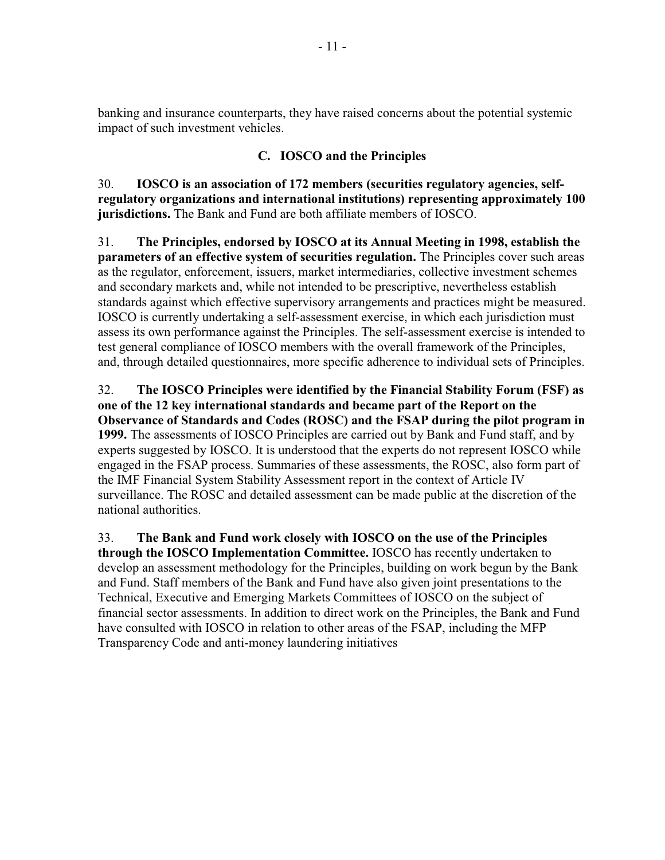banking and insurance counterparts, they have raised concerns about the potential systemic impact of such investment vehicles.

# C. IOSCO and the Principles

 $30.$ IOSCO is an association of 172 members (securities regulatory agencies, selfregulatory organizations and international institutions) representing approximately 100 jurisdictions. The Bank and Fund are both affiliate members of IOSCO.

 $31.$ The Principles, endorsed by IOSCO at its Annual Meeting in 1998, establish the parameters of an effective system of securities regulation. The Principles cover such areas as the regulator, enforcement, issuers, market intermediaries, collective investment schemes and secondary markets and, while not intended to be prescriptive, nevertheless establish standards against which effective supervisory arrangements and practices might be measured. IOSCO is currently undertaking a self-assessment exercise, in which each jurisdiction must assess its own performance against the Principles. The self-assessment exercise is intended to test general compliance of IOSCO members with the overall framework of the Principles, and, through detailed questionnaires, more specific adherence to individual sets of Principles.

32. The IOSCO Principles were identified by the Financial Stability Forum (FSF) as one of the 12 key international standards and became part of the Report on the Observance of Standards and Codes (ROSC) and the FSAP during the pilot program in 1999. The assessments of IOSCO Principles are carried out by Bank and Fund staff, and by experts suggested by IOSCO. It is understood that the experts do not represent IOSCO while engaged in the FSAP process. Summaries of these assessments, the ROSC, also form part of the IMF Financial System Stability Assessment report in the context of Article IV surveillance. The ROSC and detailed assessment can be made public at the discretion of the national authorities.

33. The Bank and Fund work closely with IOSCO on the use of the Principles through the IOSCO Implementation Committee. IOSCO has recently undertaken to develop an assessment methodology for the Principles, building on work begun by the Bank and Fund. Staff members of the Bank and Fund have also given joint presentations to the Technical, Executive and Emerging Markets Committees of IOSCO on the subject of financial sector assessments. In addition to direct work on the Principles, the Bank and Fund have consulted with IOSCO in relation to other areas of the FSAP, including the MFP Transparency Code and anti-money laundering initiatives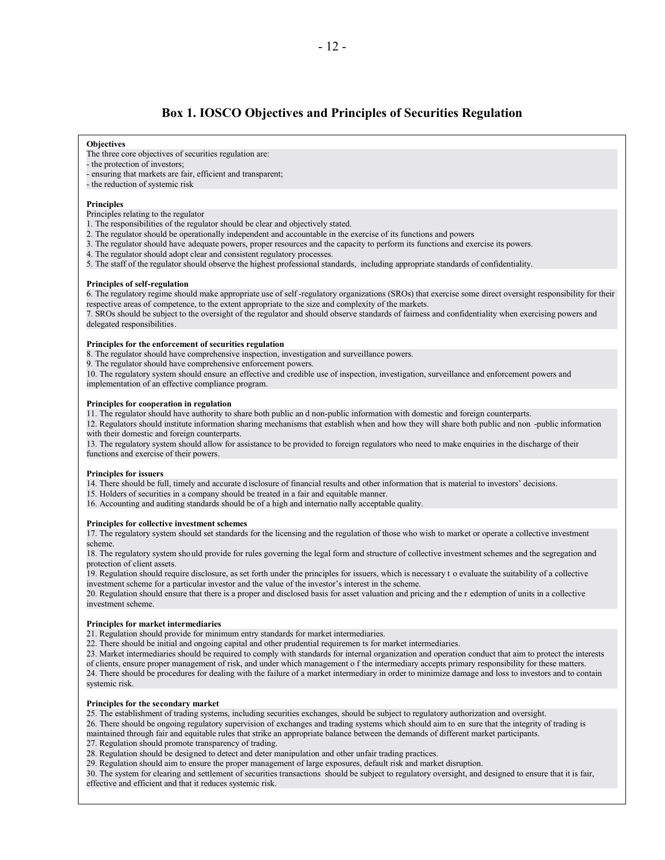## **Box 1. IOSCO Objectives and Principles of Securities Regulation**

#### **Objectives**

- The three core objectives of securities regulation are:
- the protection of investors:
- ensuring that markets are fair, efficient and transparent;
- the reduction of systemic risk

#### **Principles**

Principles relating to the regulator

- 1. The responsibilities of the regulator should be clear and objectively stated.
- 2. The regulator should be operationally independent and accountable in the exercise of its functions and powers
- 3. The regulator should have adequate powers, proper resources and the capacity to perform its functions and exercise its powers.
- 4. The regulator should adopt clear and consistent regulatory processes.

5. The staff of the regulator should observe the highest professional standards, including appropriate standards of confidentiality.

#### **Principles of self-regulation**

6. The regulatory regime should make appropriate use of self-regulatory organizations (SROs) that exercise some direct oversight responsibility for their respective areas of competence, to the extent appropriate to the size and complexity of the markets.

7. SROs should be subject to the oversight of the regulator and should observe standards of fairness and confidentiality when exercising powers and delegated responsibilities.

#### Principles for the enforcement of securities regulation

- 8. The regulator should have comprehensive inspection, investigation and surveillance powers.
- 9. The regulator should have comprehensive enforcement powers.

10. The regulatory system should ensure an effective and credible use of inspection, investigation, surveillance and enforcement powers and implementation of an effective compliance program.

#### Principles for cooperation in regulation

11. The regulator should have authority to share both public an d non-public information with domestic and foreign counterparts.

12. Regulators should institute information sharing mechanisms that establish when and how they will share both public and non -public information with their domestic and foreign counterparts.

13. The regulatory system should allow for assistance to be provided to foreign regulators who need to make enquiries in the discharge of their functions and exercise of their powers.

#### **Principles for issuers**

14. There should be full, timely and accurate d isclosure of financial results and other information that is material to investors' decisions.

- 15. Holders of securities in a company should be treated in a fair and equitable manner.
- 16. Accounting and auditing standards should be of a high and internationally acceptable quality.

#### Principles for collective investment schemes

17. The regulatory system should set standards for the licensing and the regulation of those who wish to market or operate a collective investment scheme.

18. The regulatory system should provide for rules governing the legal form and structure of collective investment schemes and the segregation and protection of client assets.

19. Regulation should require disclosure, as set forth under the principles for issuers, which is necessary t o evaluate the suitability of a collective investment scheme for a particular investor and the value of the investor's interest in the scheme.

20. Regulation should ensure that there is a proper and disclosed basis for asset valuation and pricing and the r edemption of units in a collective investment scheme.

#### Principles for market intermediaries

21. Regulation should provide for minimum entry standards for market intermediaries.

22. There should be initial and ongoing capital and other prudential requiremen ts for market intermediaries.

23. Market intermediaries should be required to comply with standards for internal organization and operation conduct that aim to protect the interests of clients, ensure proper management of risk, and under which management of the intermediary accepts primary responsibility for these matters.

24. There should be procedures for dealing with the failure of a market intermediary in order to minimize damage and loss to investors and to contain systemic risk.

### Principles for the secondary market

25. The establishment of trading systems, including securities exchanges, should be subject to regulatory authorization and oversight.

26. There should be ongoing regulatory supervision of exchanges and trading systems which should aim to en sure that the integrity of trading is maintained through fair and equitable rules that strike an appropriate balance between the demands of different market participants.

27. Regulation should promote transparency of trading.

28. Regulation should be designed to detect and deter manipulation and other unfair trading practices.

29. Regulation should aim to ensure the proper management of large exposures, default risk and market disruption.

30. The system for clearing and settlement of securities transactions should be subject to regulatory oversight, and designed to ensure that it is fair, effective and efficient and that it reduces systemic risk.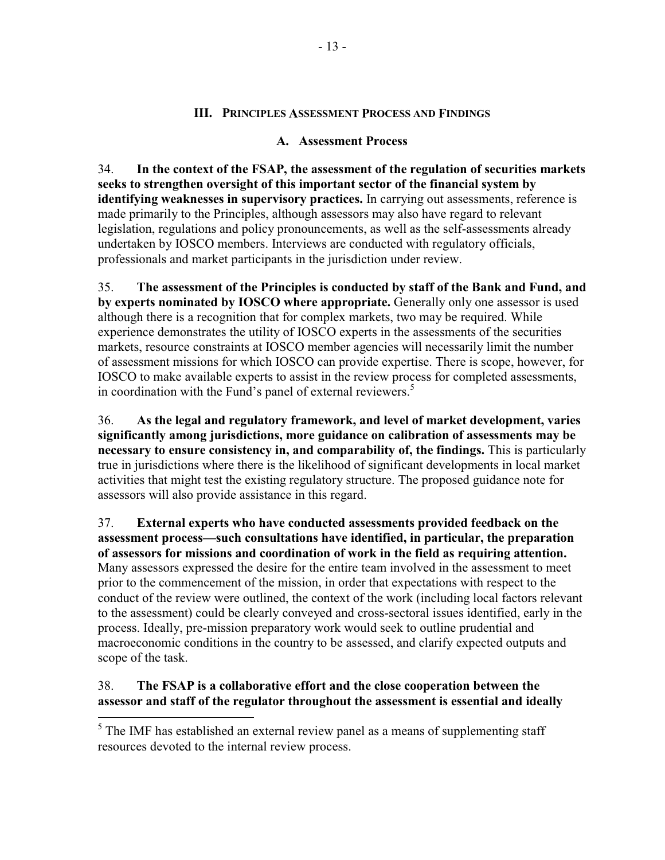## **III. PRINCIPLES ASSESSMENT PROCESS AND FINDINGS**

## A. Assessment Process

34. In the context of the FSAP, the assessment of the regulation of securities markets seeks to strengthen oversight of this important sector of the financial system by identifying weaknesses in supervisory practices. In carrying out assessments, reference is made primarily to the Principles, although assessors may also have regard to relevant legislation, regulations and policy pronouncements, as well as the self-assessments already undertaken by IOSCO members. Interviews are conducted with regulatory officials, professionals and market participants in the jurisdiction under review.

35. The assessment of the Principles is conducted by staff of the Bank and Fund, and by experts nominated by IOSCO where appropriate. Generally only one assessor is used although there is a recognition that for complex markets, two may be required. While experience demonstrates the utility of IOSCO experts in the assessments of the securities markets, resource constraints at IOSCO member agencies will necessarily limit the number of assessment missions for which IOSCO can provide expertise. There is scope, however, for IOSCO to make available experts to assist in the review process for completed assessments, in coordination with the Fund's panel of external reviewers.<sup>5</sup>

 $36.$ As the legal and regulatory framework, and level of market development, varies significantly among jurisdictions, more guidance on calibration of assessments may be necessary to ensure consistency in, and comparability of, the findings. This is particularly true in jurisdictions where there is the likelihood of significant developments in local market activities that might test the existing regulatory structure. The proposed guidance note for assessors will also provide assistance in this regard.

External experts who have conducted assessments provided feedback on the 37. assessment process—such consultations have identified, in particular, the preparation of assessors for missions and coordination of work in the field as requiring attention. Many assessors expressed the desire for the entire team involved in the assessment to meet prior to the commencement of the mission, in order that expectations with respect to the conduct of the review were outlined, the context of the work (including local factors relevant to the assessment) could be clearly conveyed and cross-sectoral issues identified, early in the process. Ideally, pre-mission preparatory work would seek to outline prudential and macroeconomic conditions in the country to be assessed, and clarify expected outputs and scope of the task.

#### The FSAP is a collaborative effort and the close cooperation between the 38. assessor and staff of the regulator throughout the assessment is essential and ideally

 $5$  The IMF has established an external review panel as a means of supplementing staff resources devoted to the internal review process.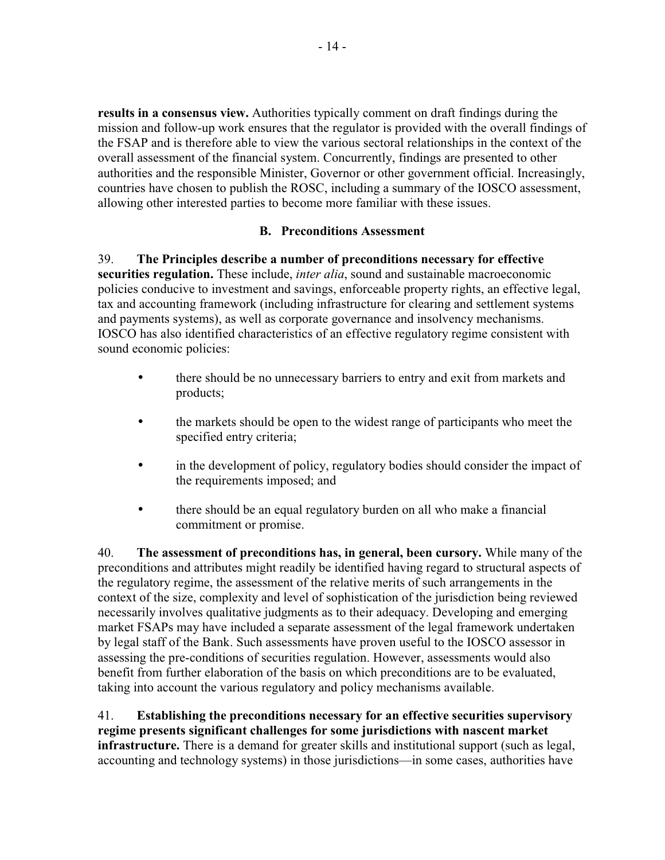results in a consensus view. Authorities typically comment on draft findings during the mission and follow-up work ensures that the regulator is provided with the overall findings of the FSAP and is therefore able to view the various sectoral relationships in the context of the overall assessment of the financial system. Concurrently, findings are presented to other authorities and the responsible Minister, Governor or other government official. Increasingly, countries have chosen to publish the ROSC, including a summary of the IOSCO assessment, allowing other interested parties to become more familiar with these issues.

## **B. Preconditions Assessment**

39. The Principles describe a number of preconditions necessary for effective securities regulation. These include, *inter alia*, sound and sustainable macroeconomic policies conducive to investment and savings, enforceable property rights, an effective legal, tax and accounting framework (including infrastructure for clearing and settlement systems and payments systems), as well as corporate governance and insolvency mechanisms. IOSCO has also identified characteristics of an effective regulatory regime consistent with sound economic policies:

- there should be no unnecessary barriers to entry and exit from markets and  $\bullet$ products;
- the markets should be open to the widest range of participants who meet the specified entry criteria;
- in the development of policy, regulatory bodies should consider the impact of the requirements imposed; and
- there should be an equal regulatory burden on all who make a financial  $\bullet$ commitment or promise.

40. The assessment of preconditions has, in general, been cursory. While many of the preconditions and attributes might readily be identified having regard to structural aspects of the regulatory regime, the assessment of the relative merits of such arrangements in the context of the size, complexity and level of sophistication of the jurisdiction being reviewed necessarily involves qualitative judgments as to their adequacy. Developing and emerging market FSAPs may have included a separate assessment of the legal framework undertaken by legal staff of the Bank. Such assessments have proven useful to the IOSCO assessor in assessing the pre-conditions of securities regulation. However, assessments would also benefit from further elaboration of the basis on which preconditions are to be evaluated, taking into account the various regulatory and policy mechanisms available.

41. Establishing the preconditions necessary for an effective securities supervisory regime presents significant challenges for some jurisdictions with nascent market **infrastructure.** There is a demand for greater skills and institutional support (such as legal, accounting and technology systems) in those jurisdictions—in some cases, authorities have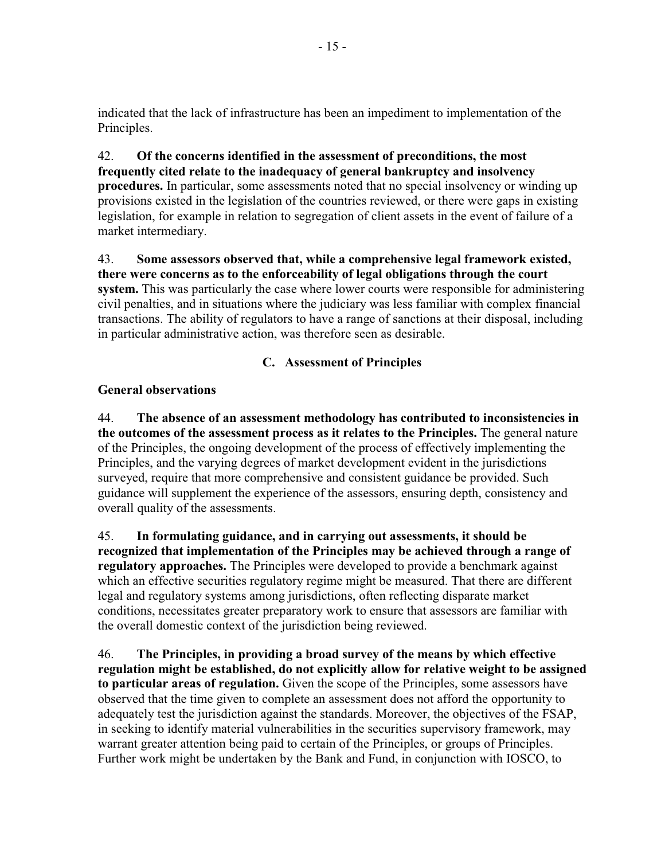indicated that the lack of infrastructure has been an impediment to implementation of the Principles.

### 42. Of the concerns identified in the assessment of preconditions, the most frequently cited relate to the inadequacy of general bankruptcy and insolvency **procedures.** In particular, some assessments noted that no special insolvency or winding up

provisions existed in the legislation of the countries reviewed, or there were gaps in existing legislation, for example in relation to segregation of client assets in the event of failure of a market intermediary.

### 43. Some assessors observed that, while a comprehensive legal framework existed, there were concerns as to the enforceability of legal obligations through the court system. This was particularly the case where lower courts were responsible for administering civil penalties, and in situations where the judiciary was less familiar with complex financial transactions. The ability of regulators to have a range of sanctions at their disposal, including in particular administrative action, was therefore seen as desirable.

# C. Assessment of Principles

# **General observations**

44. The absence of an assessment methodology has contributed to inconsistencies in the outcomes of the assessment process as it relates to the Principles. The general nature of the Principles, the ongoing development of the process of effectively implementing the Principles, and the varying degrees of market development evident in the jurisdictions surveyed, require that more comprehensive and consistent guidance be provided. Such guidance will supplement the experience of the assessors, ensuring depth, consistency and overall quality of the assessments.

45. In formulating guidance, and in carrying out assessments, it should be recognized that implementation of the Principles may be achieved through a range of regulatory approaches. The Principles were developed to provide a benchmark against which an effective securities regulatory regime might be measured. That there are different legal and regulatory systems among jurisdictions, often reflecting disparate market conditions, necessitates greater preparatory work to ensure that assessors are familiar with the overall domestic context of the jurisdiction being reviewed.

46 The Principles, in providing a broad survey of the means by which effective regulation might be established, do not explicitly allow for relative weight to be assigned to particular areas of regulation. Given the scope of the Principles, some assessors have observed that the time given to complete an assessment does not afford the opportunity to adequately test the jurisdiction against the standards. Moreover, the objectives of the FSAP, in seeking to identify material vulnerabilities in the securities supervisory framework, may warrant greater attention being paid to certain of the Principles, or groups of Principles. Further work might be undertaken by the Bank and Fund, in conjunction with IOSCO, to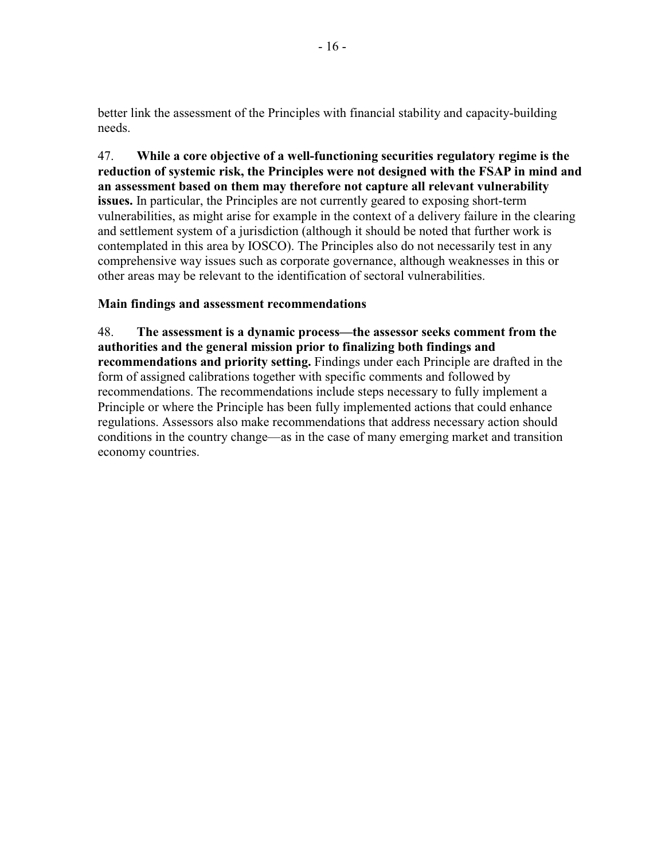better link the assessment of the Principles with financial stability and capacity-building needs

47. While a core objective of a well-functioning securities regulatory regime is the reduction of systemic risk, the Principles were not designed with the FSAP in mind and an assessment based on them may therefore not capture all relevant vulnerability issues. In particular, the Principles are not currently geared to exposing short-term vulnerabilities, as might arise for example in the context of a delivery failure in the clearing and settlement system of a jurisdiction (although it should be noted that further work is contemplated in this area by IOSCO). The Principles also do not necessarily test in any comprehensive way issues such as corporate governance, although weaknesses in this or other areas may be relevant to the identification of sectoral vulnerabilities.

## Main findings and assessment recommendations

48. The assessment is a dynamic process—the assessor seeks comment from the authorities and the general mission prior to finalizing both findings and recommendations and priority setting. Findings under each Principle are drafted in the form of assigned calibrations together with specific comments and followed by recommendations. The recommendations include steps necessary to fully implement a Principle or where the Principle has been fully implemented actions that could enhance regulations. Assessors also make recommendations that address necessary action should conditions in the country change—as in the case of many emerging market and transition economy countries.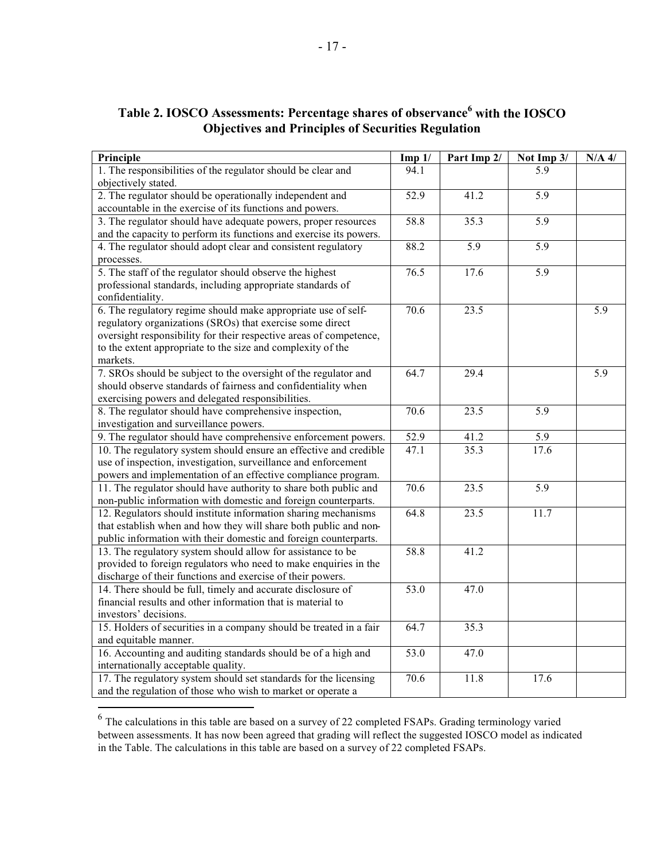| Principle                                                          | Imp 1/ | Part Imp 2/      | Not Imp 3/ | $N/A$ 4/ |
|--------------------------------------------------------------------|--------|------------------|------------|----------|
| 1. The responsibilities of the regulator should be clear and       | 94.1   |                  | 5.9        |          |
| objectively stated.                                                |        |                  |            |          |
| 2. The regulator should be operationally independent and           | 52.9   | 41.2             | 5.9        |          |
| accountable in the exercise of its functions and powers.           |        |                  |            |          |
| 3. The regulator should have adequate powers, proper resources     | 58.8   | 35.3             | 5.9        |          |
| and the capacity to perform its functions and exercise its powers. |        |                  |            |          |
| 4. The regulator should adopt clear and consistent regulatory      | 88.2   | $\overline{5.9}$ | 5.9        |          |
| processes.                                                         |        |                  |            |          |
| 5. The staff of the regulator should observe the highest           | 76.5   | 17.6             | 5.9        |          |
| professional standards, including appropriate standards of         |        |                  |            |          |
| confidentiality.                                                   |        |                  |            |          |
| 6. The regulatory regime should make appropriate use of self-      | 70.6   | 23.5             |            | 5.9      |
| regulatory organizations (SROs) that exercise some direct          |        |                  |            |          |
| oversight responsibility for their respective areas of competence, |        |                  |            |          |
| to the extent appropriate to the size and complexity of the        |        |                  |            |          |
| markets.                                                           |        |                  |            |          |
| 7. SROs should be subject to the oversight of the regulator and    | 64.7   | 29.4             |            | 5.9      |
| should observe standards of fairness and confidentiality when      |        |                  |            |          |
| exercising powers and delegated responsibilities.                  |        |                  |            |          |
| 8. The regulator should have comprehensive inspection,             | 70.6   | 23.5             | 5.9        |          |
| investigation and surveillance powers.                             |        |                  |            |          |
| 9. The regulator should have comprehensive enforcement powers.     | 52.9   | 41.2             | 5.9        |          |
| 10. The regulatory system should ensure an effective and credible  | 47.1   | 35.3             | 17.6       |          |
| use of inspection, investigation, surveillance and enforcement     |        |                  |            |          |
| powers and implementation of an effective compliance program.      |        |                  |            |          |
| 11. The regulator should have authority to share both public and   | 70.6   | 23.5             | 5.9        |          |
| non-public information with domestic and foreign counterparts.     |        |                  |            |          |
| 12. Regulators should institute information sharing mechanisms     | 64.8   | 23.5             | 11.7       |          |
| that establish when and how they will share both public and non-   |        |                  |            |          |
| public information with their domestic and foreign counterparts.   |        |                  |            |          |
| 13. The regulatory system should allow for assistance to be        | 58.8   | 41.2             |            |          |
| provided to foreign regulators who need to make enquiries in the   |        |                  |            |          |
| discharge of their functions and exercise of their powers.         |        |                  |            |          |
| 14. There should be full, timely and accurate disclosure of        | 53.0   | 47.0             |            |          |
| financial results and other information that is material to        |        |                  |            |          |
| investors' decisions.                                              |        |                  |            |          |
| 15. Holders of securities in a company should be treated in a fair | 64.7   | 35.3             |            |          |
| and equitable manner.                                              |        |                  |            |          |
| 16. Accounting and auditing standards should be of a high and      | 53.0   | 47.0             |            |          |
| internationally acceptable quality.                                |        |                  |            |          |
| 17. The regulatory system should set standards for the licensing   | 70.6   | 11.8             | 17.6       |          |
| and the regulation of those who wish to market or operate a        |        |                  |            |          |

# Table 2. IOSCO Assessments: Percentage shares of observance<sup>6</sup> with the IOSCO **Objectives and Principles of Securities Regulation**

 $6$  The calculations in this table are based on a survey of 22 completed FSAPs. Grading terminology varied between assessments. It has now been agreed that grading will reflect the suggested IOSCO model as indicated in the Table. The calculations in this table are based on a survey of 22 completed FSAPs.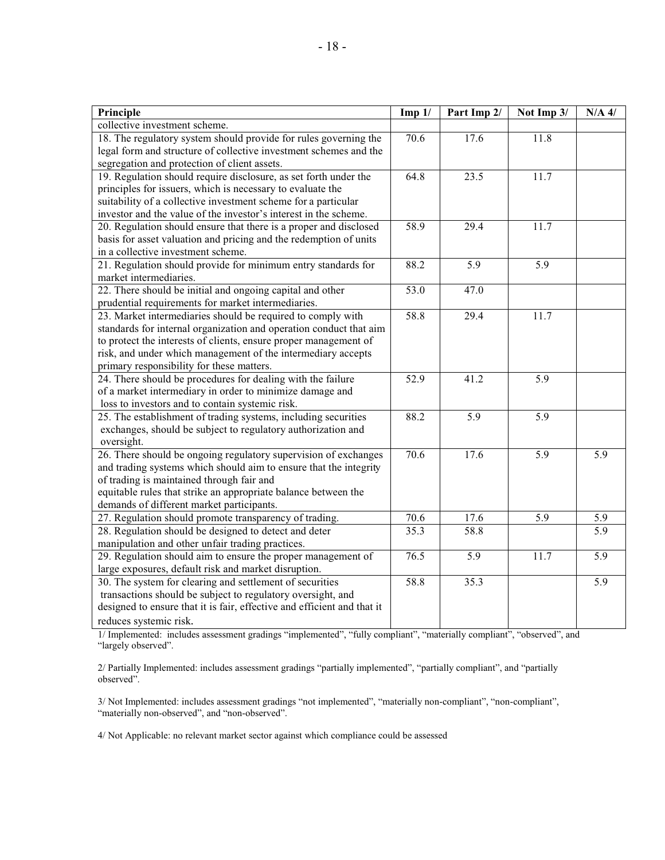| Principle                                                               | Imp 1/   | Part Imp 2/       | Not Imp 3/       | $N/A$ 4/         |
|-------------------------------------------------------------------------|----------|-------------------|------------------|------------------|
| collective investment scheme.                                           |          |                   |                  |                  |
| 18. The regulatory system should provide for rules governing the        | 70.6     | 17.6              | 11.8             |                  |
| legal form and structure of collective investment schemes and the       |          |                   |                  |                  |
| segregation and protection of client assets.                            |          |                   |                  |                  |
| 19. Regulation should require disclosure, as set forth under the        | 64.8     | 23.5              | 11.7             |                  |
| principles for issuers, which is necessary to evaluate the              |          |                   |                  |                  |
| suitability of a collective investment scheme for a particular          |          |                   |                  |                  |
| investor and the value of the investor's interest in the scheme.        |          |                   |                  |                  |
| 20. Regulation should ensure that there is a proper and disclosed       | 58.9     | 29.4              | 11.7             |                  |
| basis for asset valuation and pricing and the redemption of units       |          |                   |                  |                  |
| in a collective investment scheme.                                      |          |                   |                  |                  |
| 21. Regulation should provide for minimum entry standards for           | 88.2     | $\overline{5.9}$  | $\overline{5.9}$ |                  |
| market intermediaries.                                                  |          |                   |                  |                  |
| 22. There should be initial and ongoing capital and other               | 53.0     | 47.0              |                  |                  |
| prudential requirements for market intermediaries.                      |          |                   |                  |                  |
| 23. Market intermediaries should be required to comply with             | 58.8     | 29.4              | 11.7             |                  |
| standards for internal organization and operation conduct that aim      |          |                   |                  |                  |
| to protect the interests of clients, ensure proper management of        |          |                   |                  |                  |
| risk, and under which management of the intermediary accepts            |          |                   |                  |                  |
| primary responsibility for these matters.                               |          |                   |                  |                  |
| 24. There should be procedures for dealing with the failure             | 52.9     | 41.2              | 5.9              |                  |
| of a market intermediary in order to minimize damage and                |          |                   |                  |                  |
| loss to investors and to contain systemic risk.                         |          |                   |                  |                  |
| 25. The establishment of trading systems, including securities          | 88.2     | $\overline{5.9}$  | $\overline{5.9}$ |                  |
| exchanges, should be subject to regulatory authorization and            |          |                   |                  |                  |
| oversight.                                                              |          |                   |                  |                  |
| 26. There should be ongoing regulatory supervision of exchanges         | 70.6     | 17.6              | 5.9              | 5.9              |
| and trading systems which should aim to ensure that the integrity       |          |                   |                  |                  |
| of trading is maintained through fair and                               |          |                   |                  |                  |
| equitable rules that strike an appropriate balance between the          |          |                   |                  |                  |
| demands of different market participants.                               |          |                   |                  |                  |
| 27. Regulation should promote transparency of trading.                  | $70.6\,$ | 17.6              | 5.9              | 5.9              |
| 28. Regulation should be designed to detect and deter                   | 35.3     | $\overline{58.8}$ |                  | $\overline{5.9}$ |
| manipulation and other unfair trading practices.                        |          |                   |                  |                  |
| 29. Regulation should aim to ensure the proper management of            | 76.5     | $\overline{5.9}$  | 11.7             | $\overline{5.9}$ |
| large exposures, default risk and market disruption.                    |          |                   |                  |                  |
| 30. The system for clearing and settlement of securities                | 58.8     | 35.3              |                  | 5.9              |
| transactions should be subject to regulatory oversight, and             |          |                   |                  |                  |
| designed to ensure that it is fair, effective and efficient and that it |          |                   |                  |                  |
| reduces systemic risk.                                                  |          |                   |                  |                  |

1/ Implemented: includes assessment gradings "implemented", "fully compliant", "materially compliant", "observed", and "largely observed".

2/ Partially Implemented: includes assessment gradings "partially implemented", "partially compliant", and "partially observed".

3/ Not Implemented: includes assessment gradings "not implemented", "materially non-compliant", "non-compliant", "materially non-observed", and "non-observed".

4/ Not Applicable: no relevant market sector against which compliance could be assessed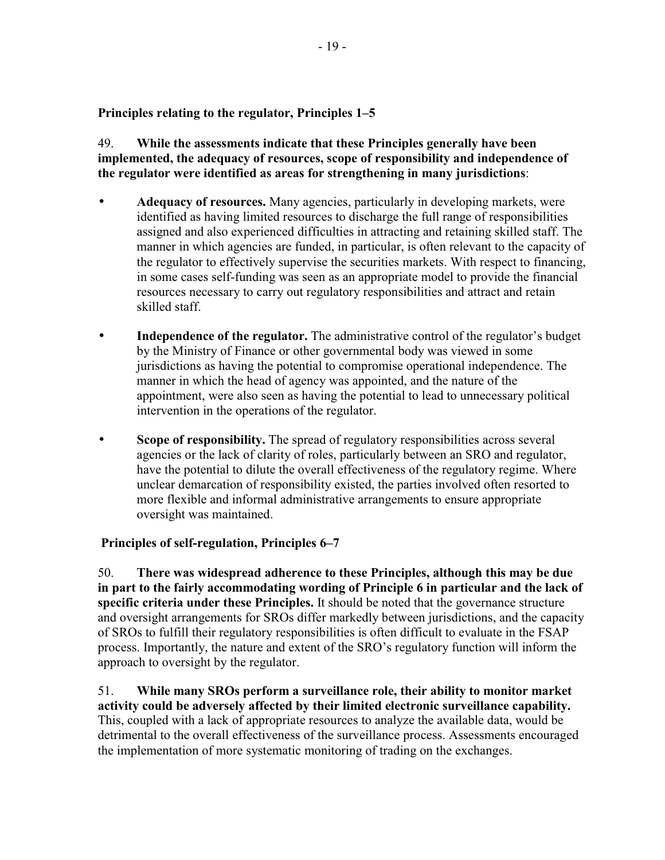## Principles relating to the regulator, Principles 1–5

49. While the assessments indicate that these Principles generally have been implemented, the adequacy of resources, scope of responsibility and independence of the regulator were identified as areas for strengthening in many jurisdictions:

- Adequacy of resources. Many agencies, particularly in developing markets, were identified as having limited resources to discharge the full range of responsibilities assigned and also experienced difficulties in attracting and retaining skilled staff. The manner in which agencies are funded, in particular, is often relevant to the capacity of the regulator to effectively supervise the securities markets. With respect to financing, in some cases self-funding was seen as an appropriate model to provide the financial resources necessary to carry out regulatory responsibilities and attract and retain skilled staff.
- **Independence of the regulator.** The administrative control of the regulator's budget by the Ministry of Finance or other governmental body was viewed in some jurisdictions as having the potential to compromise operational independence. The manner in which the head of agency was appointed, and the nature of the appointment, were also seen as having the potential to lead to unnecessary political intervention in the operations of the regulator.
- Scope of responsibility. The spread of regulatory responsibilities across several agencies or the lack of clarity of roles, particularly between an SRO and regulator, have the potential to dilute the overall effectiveness of the regulatory regime. Where unclear demarcation of responsibility existed, the parties involved often resorted to more flexible and informal administrative arrangements to ensure appropriate oversight was maintained.

# Principles of self-regulation, Principles 6–7

50. There was widespread adherence to these Principles, although this may be due in part to the fairly accommodating wording of Principle 6 in particular and the lack of specific criteria under these Principles. It should be noted that the governance structure and oversight arrangements for SROs differ markedly between jurisdictions, and the capacity of SROs to fulfill their regulatory responsibilities is often difficult to evaluate in the FSAP process. Importantly, the nature and extent of the SRO's regulatory function will inform the approach to oversight by the regulator.

51 While many SROs perform a surveillance role, their ability to monitor market activity could be adversely affected by their limited electronic surveillance capability. This, coupled with a lack of appropriate resources to analyze the available data, would be detrimental to the overall effectiveness of the surveillance process. Assessments encouraged the implementation of more systematic monitoring of trading on the exchanges.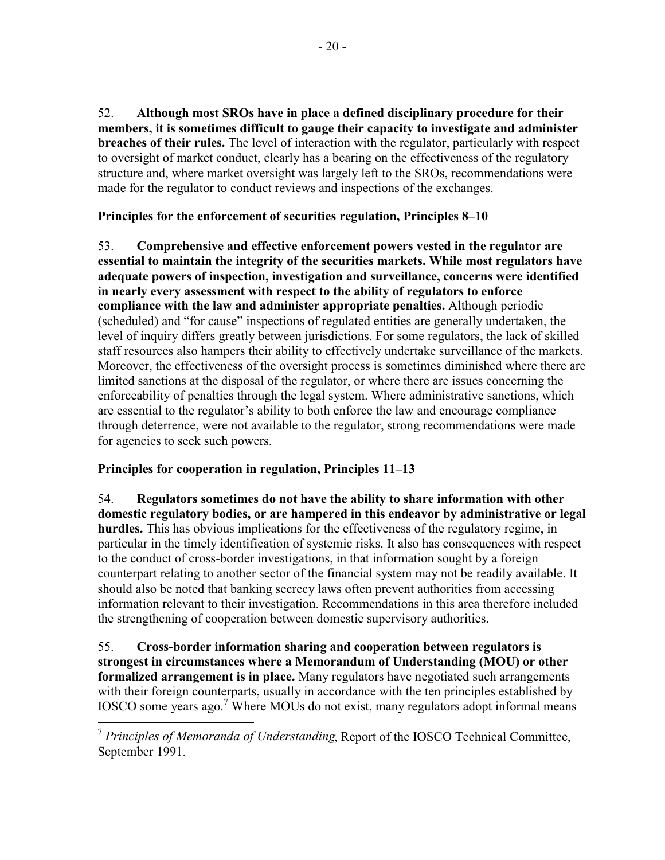52. Although most SROs have in place a defined disciplinary procedure for their members, it is sometimes difficult to gauge their capacity to investigate and administer breaches of their rules. The level of interaction with the regulator, particularly with respect to oversight of market conduct, clearly has a bearing on the effectiveness of the regulatory structure and, where market oversight was largely left to the SROs, recommendations were made for the regulator to conduct reviews and inspections of the exchanges.

Principles for the enforcement of securities regulation, Principles 8–10

53. Comprehensive and effective enforcement powers vested in the regulator are essential to maintain the integrity of the securities markets. While most regulators have adequate powers of inspection, investigation and surveillance, concerns were identified in nearly every assessment with respect to the ability of regulators to enforce compliance with the law and administer appropriate penalties. Although periodic (scheduled) and "for cause" inspections of regulated entities are generally undertaken, the level of inquiry differs greatly between jurisdictions. For some regulators, the lack of skilled staff resources also hampers their ability to effectively undertake surveillance of the markets. Moreover, the effectiveness of the oversight process is sometimes diminished where there are limited sanctions at the disposal of the regulator, or where there are issues concerning the enforceability of penalties through the legal system. Where administrative sanctions, which are essential to the regulator's ability to both enforce the law and encourage compliance through deterrence, were not available to the regulator, strong recommendations were made for agencies to seek such powers.

# Principles for cooperation in regulation, Principles 11–13

54. Regulators sometimes do not have the ability to share information with other domestic regulatory bodies, or are hampered in this endeavor by administrative or legal hurdles. This has obvious implications for the effectiveness of the regulatory regime, in particular in the timely identification of systemic risks. It also has consequences with respect to the conduct of cross-border investigations, in that information sought by a foreign counterpart relating to another sector of the financial system may not be readily available. It should also be noted that banking secrecy laws often prevent authorities from accessing information relevant to their investigation. Recommendations in this area therefore included the strengthening of cooperation between domestic supervisory authorities.

55. Cross-border information sharing and cooperation between regulators is strongest in circumstances where a Memorandum of Understanding (MOU) or other formalized arrangement is in place. Many regulators have negotiated such arrangements with their foreign counterparts, usually in accordance with the ten principles established by IOSCO some years ago.<sup>7</sup> Where MOUs do not exist, many regulators adopt informal means

 $\frac{7}{7}$  Principles of Memoranda of Understanding, Report of the IOSCO Technical Committee, September 1991.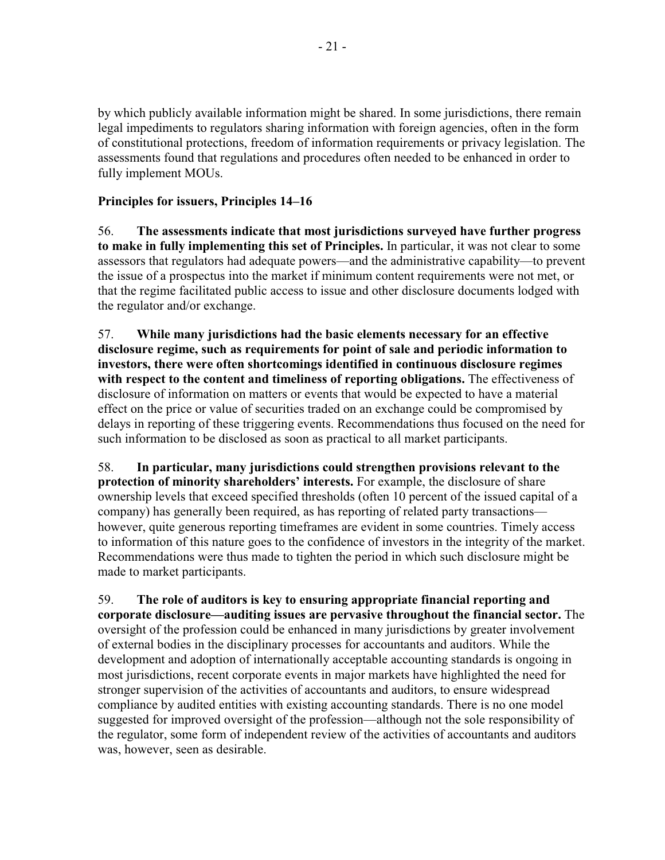by which publicly available information might be shared. In some jurisdictions, there remain legal impediments to regulators sharing information with foreign agencies, often in the form of constitutional protections, freedom of information requirements or privacy legislation. The assessments found that regulations and procedures often needed to be enhanced in order to fully implement MOUs.

# Principles for issuers, Principles 14–16

The assessments indicate that most jurisdictions surveyed have further progress 56. to make in fully implementing this set of Principles. In particular, it was not clear to some assessors that regulators had adequate powers—and the administrative capability—to prevent the issue of a prospectus into the market if minimum content requirements were not met, or that the regime facilitated public access to issue and other disclosure documents lodged with the regulator and/or exchange.

57. While many jurisdictions had the basic elements necessary for an effective disclosure regime, such as requirements for point of sale and periodic information to investors, there were often shortcomings identified in continuous disclosure regimes with respect to the content and timeliness of reporting obligations. The effectiveness of disclosure of information on matters or events that would be expected to have a material effect on the price or value of securities traded on an exchange could be compromised by delays in reporting of these triggering events. Recommendations thus focused on the need for such information to be disclosed as soon as practical to all market participants.

58. In particular, many jurisdictions could strengthen provisions relevant to the protection of minority shareholders' interests. For example, the disclosure of share ownership levels that exceed specified thresholds (often 10 percent of the issued capital of a company) has generally been required, as has reporting of related party transactions however, quite generous reporting timeframes are evident in some countries. Timely access to information of this nature goes to the confidence of investors in the integrity of the market. Recommendations were thus made to tighten the period in which such disclosure might be made to market participants.

59. The role of auditors is key to ensuring appropriate financial reporting and corporate disclosure—auditing issues are pervasive throughout the financial sector. The oversight of the profession could be enhanced in many jurisdictions by greater involvement of external bodies in the disciplinary processes for accountants and auditors. While the development and adoption of internationally acceptable accounting standards is ongoing in most jurisdictions, recent corporate events in major markets have highlighted the need for stronger supervision of the activities of accountants and auditors, to ensure widespread compliance by audited entities with existing accounting standards. There is no one model suggested for improved oversight of the profession—although not the sole responsibility of the regulator, some form of independent review of the activities of accountants and auditors was, however, seen as desirable.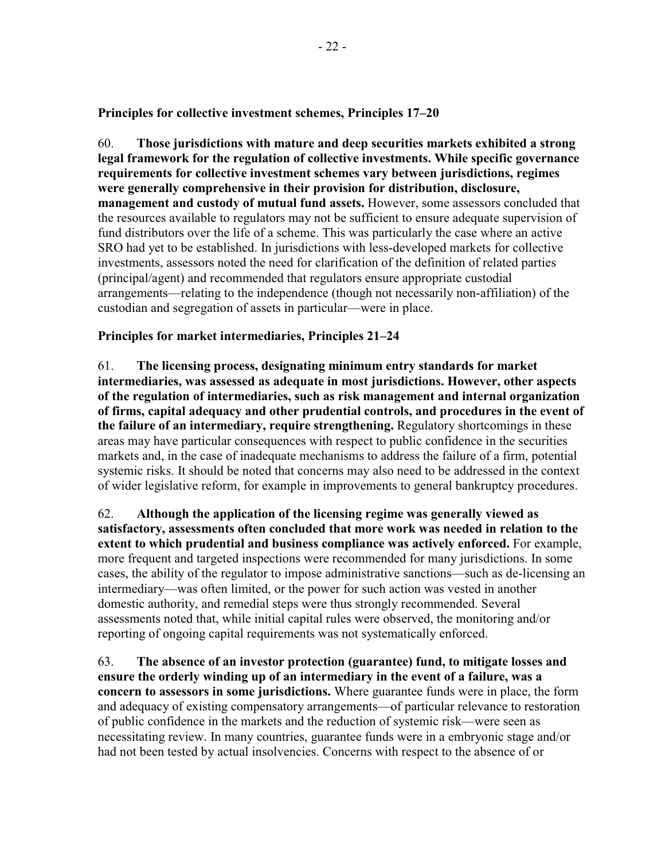Principles for collective investment schemes, Principles 17–20

60. Those jurisdictions with mature and deep securities markets exhibited a strong legal framework for the regulation of collective investments. While specific governance requirements for collective investment schemes vary between jurisdictions, regimes were generally comprehensive in their provision for distribution, disclosure, management and custody of mutual fund assets. However, some assessors concluded that the resources available to regulators may not be sufficient to ensure adequate supervision of fund distributors over the life of a scheme. This was particularly the case where an active SRO had yet to be established. In jurisdictions with less-developed markets for collective investments, assessors noted the need for clarification of the definition of related parties (principal/agent) and recommended that regulators ensure appropriate custodial arrangements—relating to the independence (though not necessarily non-affiliation) of the custodian and segregation of assets in particular—were in place.

# Principles for market intermediaries, Principles 21–24

61. The licensing process, designating minimum entry standards for market intermediaries, was assessed as adequate in most jurisdictions. However, other aspects of the regulation of intermediaries, such as risk management and internal organization of firms, capital adequacy and other prudential controls, and procedures in the event of the failure of an intermediary, require strengthening. Regulatory shortcomings in these areas may have particular consequences with respect to public confidence in the securities markets and, in the case of inadequate mechanisms to address the failure of a firm, potential systemic risks. It should be noted that concerns may also need to be addressed in the context of wider legislative reform, for example in improvements to general bankruptcy procedures.

62. Although the application of the licensing regime was generally viewed as satisfactory, assessments often concluded that more work was needed in relation to the extent to which prudential and business compliance was actively enforced. For example, more frequent and targeted inspections were recommended for many jurisdictions. In some cases, the ability of the regulator to impose administrative sanctions—such as de-licensing an intermediary—was often limited, or the power for such action was vested in another domestic authority, and remedial steps were thus strongly recommended. Several assessments noted that, while initial capital rules were observed, the monitoring and/or reporting of ongoing capital requirements was not systematically enforced.

63. The absence of an investor protection (guarantee) fund, to mitigate losses and ensure the orderly winding up of an intermediary in the event of a failure, was a concern to assessors in some jurisdictions. Where guarantee funds were in place, the form and adequacy of existing compensatory arrangements—of particular relevance to restoration of public confidence in the markets and the reduction of systemic risk—were seen as necessitating review. In many countries, guarantee funds were in a embryonic stage and/or had not been tested by actual insolvencies. Concerns with respect to the absence of or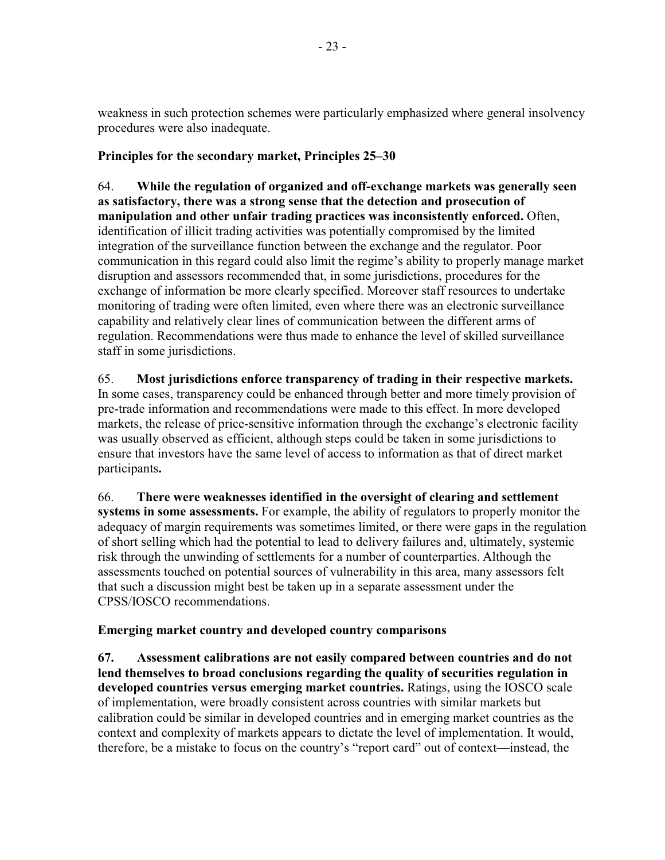weakness in such protection schemes were particularly emphasized where general insolvency procedures were also inadequate.

# Principles for the secondary market, Principles 25–30

64. While the regulation of organized and off-exchange markets was generally seen as satisfactory, there was a strong sense that the detection and prosecution of manipulation and other unfair trading practices was inconsistently enforced. Often, identification of illicit trading activities was potentially compromised by the limited integration of the surveillance function between the exchange and the regulator. Poor communication in this regard could also limit the regime's ability to properly manage market disruption and assessors recommended that, in some jurisdictions, procedures for the exchange of information be more clearly specified. Moreover staff resources to undertake monitoring of trading were often limited, even where there was an electronic surveillance capability and relatively clear lines of communication between the different arms of regulation. Recommendations were thus made to enhance the level of skilled surveillance staff in some jurisdictions.

#### 65. Most jurisdictions enforce transparency of trading in their respective markets.

In some cases, transparency could be enhanced through better and more timely provision of pre-trade information and recommendations were made to this effect. In more developed markets, the release of price-sensitive information through the exchange's electronic facility was usually observed as efficient, although steps could be taken in some jurisdictions to ensure that investors have the same level of access to information as that of direct market participants.

66. There were weaknesses identified in the oversight of clearing and settlement systems in some assessments. For example, the ability of regulators to properly monitor the adequacy of margin requirements was sometimes limited, or there were gaps in the regulation of short selling which had the potential to lead to delivery failures and, ultimately, systemic risk through the unwinding of settlements for a number of counterparties. Although the assessments touched on potential sources of vulnerability in this area, many assessors felt that such a discussion might best be taken up in a separate assessment under the CPSS/IOSCO recommendations.

# Emerging market country and developed country comparisons

67. Assessment calibrations are not easily compared between countries and do not lend themselves to broad conclusions regarding the quality of securities regulation in developed countries versus emerging market countries. Ratings, using the IOSCO scale of implementation, were broadly consistent across countries with similar markets but calibration could be similar in developed countries and in emerging market countries as the context and complexity of markets appears to dictate the level of implementation. It would, therefore, be a mistake to focus on the country's "report card" out of context—instead, the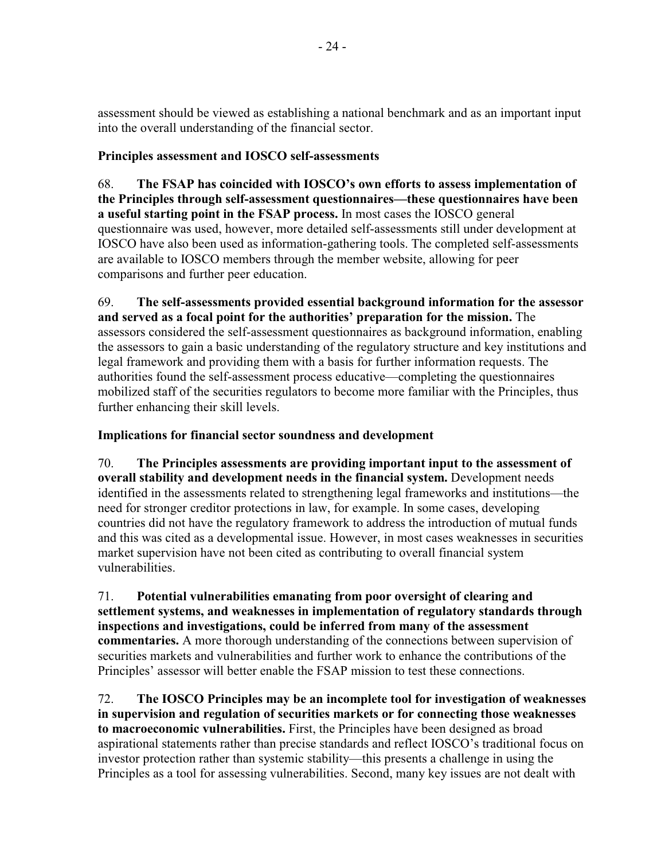assessment should be viewed as establishing a national benchmark and as an important input into the overall understanding of the financial sector.

# Principles assessment and IOSCO self-assessments

68. The FSAP has coincided with IOSCO's own efforts to assess implementation of the Principles through self-assessment questionnaires—these questionnaires have been a useful starting point in the FSAP process. In most cases the IOSCO general questionnaire was used, however, more detailed self-assessments still under development at IOSCO have also been used as information-gathering tools. The completed self-assessments are available to IOSCO members through the member website, allowing for peer comparisons and further peer education.

69 The self-assessments provided essential background information for the assessor and served as a focal point for the authorities' preparation for the mission. The assessors considered the self-assessment questionnaires as background information, enabling the assessors to gain a basic understanding of the regulatory structure and key institutions and legal framework and providing them with a basis for further information requests. The authorities found the self-assessment process educative—completing the questionnaires mobilized staff of the securities regulators to become more familiar with the Principles, thus further enhancing their skill levels.

# Implications for financial sector soundness and development

70. The Principles assessments are providing important input to the assessment of overall stability and development needs in the financial system. Development needs identified in the assessments related to strengthening legal frameworks and institutions—the need for stronger creditor protections in law, for example. In some cases, developing countries did not have the regulatory framework to address the introduction of mutual funds and this was cited as a developmental issue. However, in most cases weaknesses in securities market supervision have not been cited as contributing to overall financial system vulnerabilities.

71. Potential vulnerabilities emanating from poor oversight of clearing and settlement systems, and weaknesses in implementation of regulatory standards through inspections and investigations, could be inferred from many of the assessment **commentaries.** A more thorough understanding of the connections between supervision of securities markets and vulnerabilities and further work to enhance the contributions of the Principles' assessor will better enable the FSAP mission to test these connections.

72. The IOSCO Principles may be an incomplete tool for investigation of weaknesses in supervision and regulation of securities markets or for connecting those weaknesses to macroeconomic vulnerabilities. First, the Principles have been designed as broad aspirational statements rather than precise standards and reflect IOSCO's traditional focus on investor protection rather than systemic stability—this presents a challenge in using the Principles as a tool for assessing vulnerabilities. Second, many key issues are not dealt with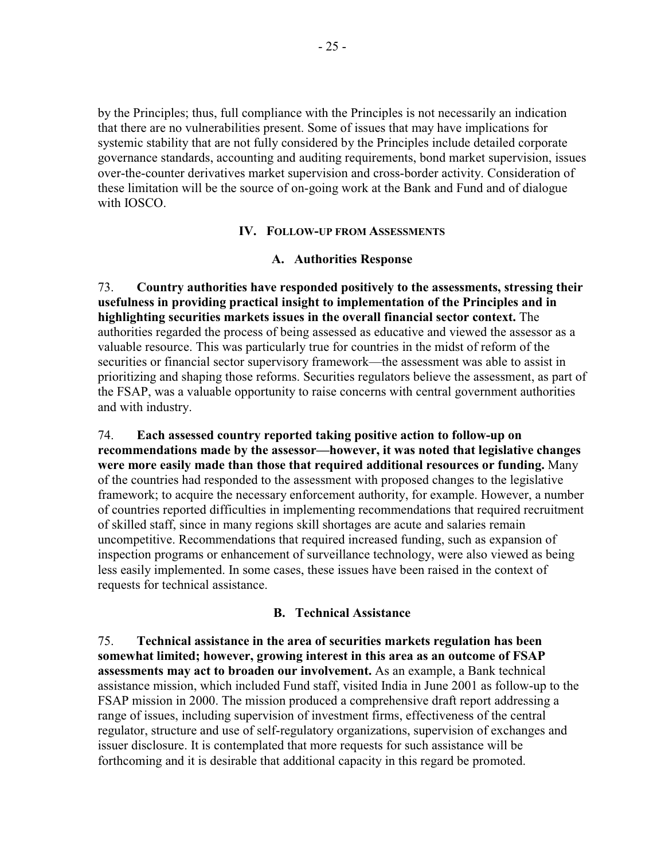by the Principles; thus, full compliance with the Principles is not necessarily an indication that there are no vulnerabilities present. Some of issues that may have implications for systemic stability that are not fully considered by the Principles include detailed corporate governance standards, accounting and auditing requirements, bond market supervision, issues over-the-counter derivatives market supervision and cross-border activity. Consideration of these limitation will be the source of on-going work at the Bank and Fund and of dialogue with IOSCO.

### **IV. FOLLOW-UP FROM ASSESSMENTS**

### A. Authorities Response

73. Country authorities have responded positively to the assessments, stressing their usefulness in providing practical insight to implementation of the Principles and in highlighting securities markets issues in the overall financial sector context. The authorities regarded the process of being assessed as educative and viewed the assessor as a valuable resource. This was particularly true for countries in the midst of reform of the securities or financial sector supervisory framework—the assessment was able to assist in prioritizing and shaping those reforms. Securities regulators believe the assessment, as part of the FSAP, was a valuable opportunity to raise concerns with central government authorities and with industry.

74. Each assessed country reported taking positive action to follow-up on recommendations made by the assessor—however, it was noted that legislative changes were more easily made than those that required additional resources or funding. Many of the countries had responded to the assessment with proposed changes to the legislative framework; to acquire the necessary enforcement authority, for example. However, a number of countries reported difficulties in implementing recommendations that required recruitment of skilled staff, since in many regions skill shortages are acute and salaries remain uncompetitive. Recommendations that required increased funding, such as expansion of inspection programs or enhancement of surveillance technology, were also viewed as being less easily implemented. In some cases, these issues have been raised in the context of requests for technical assistance.

## **B.** Technical Assistance

75. Technical assistance in the area of securities markets regulation has been somewhat limited; however, growing interest in this area as an outcome of FSAP assessments may act to broaden our involvement. As an example, a Bank technical assistance mission, which included Fund staff, visited India in June 2001 as follow-up to the FSAP mission in 2000. The mission produced a comprehensive draft report addressing a range of issues, including supervision of investment firms, effectiveness of the central regulator, structure and use of self-regulatory organizations, supervision of exchanges and issuer disclosure. It is contemplated that more requests for such assistance will be forthcoming and it is desirable that additional capacity in this regard be promoted.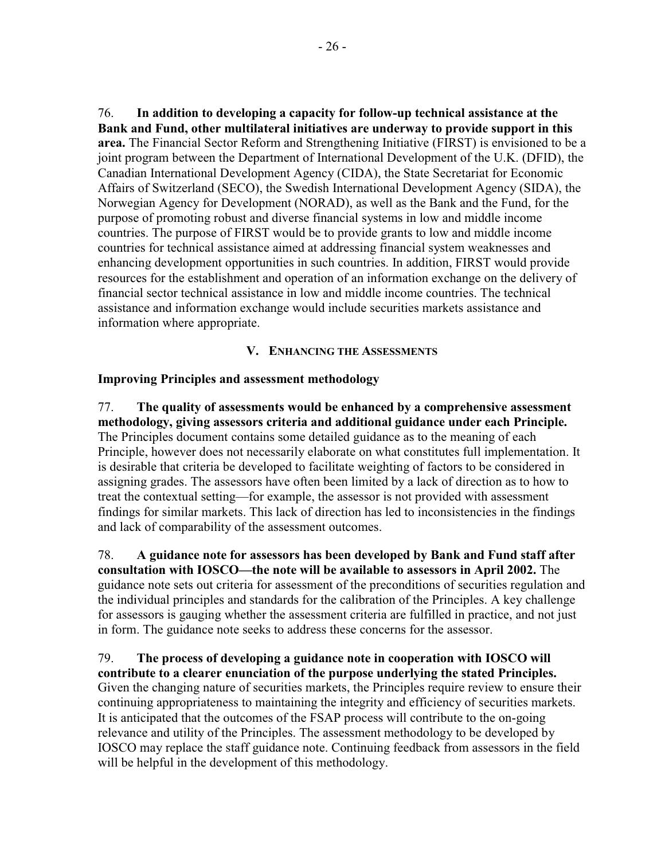76. In addition to developing a capacity for follow-up technical assistance at the Bank and Fund, other multilateral initiatives are underway to provide support in this area. The Financial Sector Reform and Strengthening Initiative (FIRST) is envisioned to be a joint program between the Department of International Development of the U.K. (DFID), the Canadian International Development Agency (CIDA), the State Secretariat for Economic Affairs of Switzerland (SECO), the Swedish International Development Agency (SIDA), the Norwegian Agency for Development (NORAD), as well as the Bank and the Fund, for the purpose of promoting robust and diverse financial systems in low and middle income countries. The purpose of FIRST would be to provide grants to low and middle income countries for technical assistance aimed at addressing financial system weaknesses and enhancing development opportunities in such countries. In addition, FIRST would provide resources for the establishment and operation of an information exchange on the delivery of financial sector technical assistance in low and middle income countries. The technical assistance and information exchange would include securities markets assistance and information where appropriate.

## V. ENHANCING THE ASSESSMENTS

## **Improving Principles and assessment methodology**

77. The quality of assessments would be enhanced by a comprehensive assessment methodology, giving assessors criteria and additional guidance under each Principle. The Principles document contains some detailed guidance as to the meaning of each Principle, however does not necessarily elaborate on what constitutes full implementation. It is desirable that criteria be developed to facilitate weighting of factors to be considered in assigning grades. The assessors have often been limited by a lack of direction as to how to treat the contextual setting—for example, the assessor is not provided with assessment findings for similar markets. This lack of direction has led to inconsistencies in the findings and lack of comparability of the assessment outcomes.

78. A guidance note for assessors has been developed by Bank and Fund staff after consultation with IOSCO—the note will be available to assessors in April 2002. The guidance note sets out criteria for assessment of the preconditions of securities regulation and the individual principles and standards for the calibration of the Principles. A key challenge for assessors is gauging whether the assessment criteria are fulfilled in practice, and not just in form. The guidance note seeks to address these concerns for the assessor.

79. The process of developing a guidance note in cooperation with IOSCO will contribute to a clearer enunciation of the purpose underlying the stated Principles. Given the changing nature of securities markets, the Principles require review to ensure their continuing appropriateness to maintaining the integrity and efficiency of securities markets. It is anticipated that the outcomes of the FSAP process will contribute to the on-going relevance and utility of the Principles. The assessment methodology to be developed by IOSCO may replace the staff guidance note. Continuing feedback from assessors in the field will be helpful in the development of this methodology.